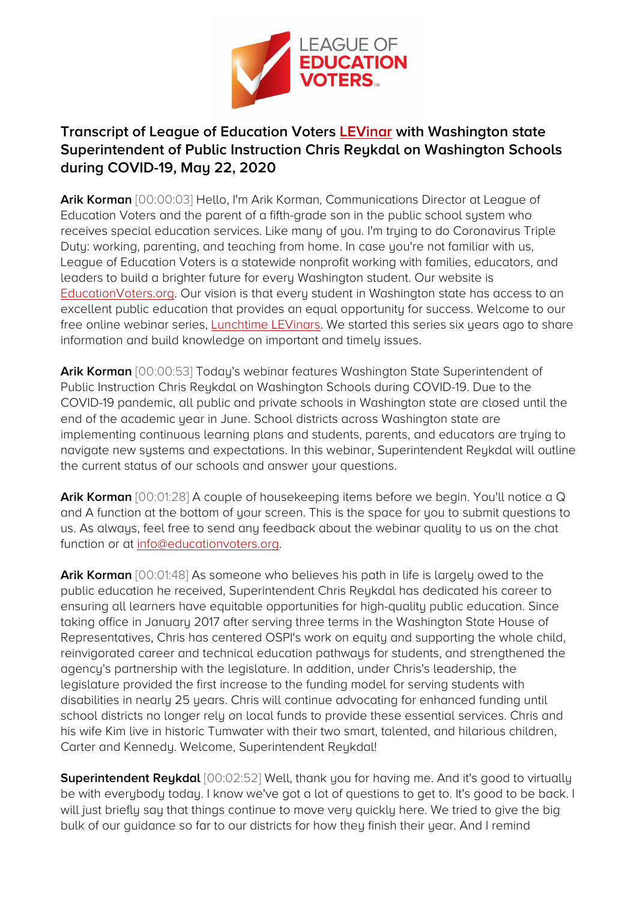

## **Transcript of League of Education Voters [LEVinar](https://youtu.be/EIyD9TN4Om4) with Washington state Superintendent of Public Instruction Chris Reykdal on Washington Schools during COVID-19, May 22, 2020**

**Arik Korman** [00:00:03] Hello, I'm Arik Korman, Communications Director at League of Education Voters and the parent of a fifth-grade son in the public school system who receives special education services. Like many of you. I'm trying to do Coronavirus Triple Duty: working, parenting, and teaching from home. In case you're not familiar with us, League of Education Voters is a statewide nonprofit working with families, educators, and leaders to build a brighter future for every Washington student. Our website is [EducationVoters.org.](https://educationvoters.org/) Our vision is that every student in Washington state has access to an excellent public education that provides an equal opportunity for success. Welcome to our free online webinar series, [Lunchtime LEVinars.](https://educationvoters.org/get-involved/lunchtime-levinars/) We started this series six years ago to share information and build knowledge on important and timely issues.

**Arik Korman** [00:00:53] Today's webinar features Washington State Superintendent of Public Instruction Chris Reykdal on Washington Schools during COVID-19. Due to the COVID-19 pandemic, all public and private schools in Washington state are closed until the end of the academic year in June. School districts across Washington state are implementing continuous learning plans and students, parents, and educators are trying to navigate new systems and expectations. In this webinar, Superintendent Reykdal will outline the current status of our schools and answer your questions.

**Arik Korman** [00:01:28] A couple of housekeeping items before we begin. You'll notice a Q and A function at the bottom of your screen. This is the space for you to submit questions to us. As always, feel free to send any feedback about the webinar quality to us on the chat function or at [info@educationvoters.org.](mailto:info@educationvoters.org)

**Arik Korman** [00:01:48] As someone who believes his path in life is largely owed to the public education he received, Superintendent Chris Reykdal has dedicated his career to ensuring all learners have equitable opportunities for high-quality public education. Since taking office in January 2017 after serving three terms in the Washington State House of Representatives, Chris has centered OSPI's work on equity and supporting the whole child, reinvigorated career and technical education pathways for students, and strengthened the agency's partnership with the legislature. In addition, under Chris's leadership, the legislature provided the first increase to the funding model for serving students with disabilities in nearly 25 years. Chris will continue advocating for enhanced funding until school districts no longer rely on local funds to provide these essential services. Chris and his wife Kim live in historic Tumwater with their two smart, talented, and hilarious children, Carter and Kennedy. Welcome, Superintendent Reykdal!

**Superintendent Reykdal** [00:02:52] Well, thank you for having me. And it's good to virtually be with everybody today. I know we've got a lot of questions to get to. It's good to be back. I will just briefly say that things continue to move very quickly here. We tried to give the big bulk of our guidance so far to our districts for how they finish their year. And I remind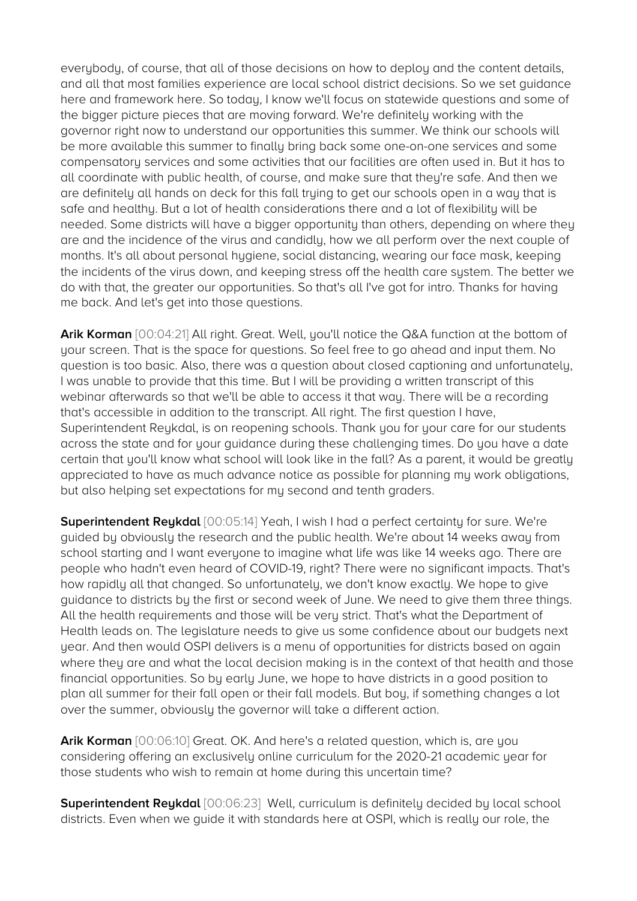everybody, of course, that all of those decisions on how to deploy and the content details, and all that most families experience are local school district decisions. So we set guidance here and framework here. So today, I know we'll focus on statewide questions and some of the bigger picture pieces that are moving forward. We're definitely working with the governor right now to understand our opportunities this summer. We think our schools will be more available this summer to finally bring back some one-on-one services and some compensatory services and some activities that our facilities are often used in. But it has to all coordinate with public health, of course, and make sure that they're safe. And then we are definitely all hands on deck for this fall trying to get our schools open in a way that is safe and healthy. But a lot of health considerations there and a lot of flexibility will be needed. Some districts will have a bigger opportunity than others, depending on where they are and the incidence of the virus and candidly, how we all perform over the next couple of months. It's all about personal hygiene, social distancing, wearing our face mask, keeping the incidents of the virus down, and keeping stress off the health care system. The better we do with that, the greater our opportunities. So that's all I've got for intro. Thanks for having me back. And let's get into those questions.

**Arik Korman** [00:04:21] All right. Great. Well, you'll notice the Q&A function at the bottom of your screen. That is the space for questions. So feel free to go ahead and input them. No question is too basic. Also, there was a question about closed captioning and unfortunately, I was unable to provide that this time. But I will be providing a written transcript of this webinar afterwards so that we'll be able to access it that way. There will be a recording that's accessible in addition to the transcript. All right. The first question I have, Superintendent Reykdal, is on reopening schools. Thank you for your care for our students across the state and for your guidance during these challenging times. Do you have a date certain that you'll know what school will look like in the fall? As a parent, it would be greatly appreciated to have as much advance notice as possible for planning my work obligations, but also helping set expectations for my second and tenth graders.

**Superintendent Reykdal** [00:05:14] Yeah, I wish I had a perfect certainty for sure. We're guided by obviously the research and the public health. We're about 14 weeks away from school starting and I want everyone to imagine what life was like 14 weeks ago. There are people who hadn't even heard of COVID-19, right? There were no significant impacts. That's how rapidly all that changed. So unfortunately, we don't know exactly. We hope to give guidance to districts by the first or second week of June. We need to give them three things. All the health requirements and those will be very strict. That's what the Department of Health leads on. The legislature needs to give us some confidence about our budgets next year. And then would OSPI delivers is a menu of opportunities for districts based on again where they are and what the local decision making is in the context of that health and those financial opportunities. So by early June, we hope to have districts in a good position to plan all summer for their fall open or their fall models. But boy, if something changes a lot over the summer, obviously the governor will take a different action.

**Arik Korman** [00:06:10] Great. OK. And here's a related question, which is, are you considering offering an exclusively online curriculum for the 2020-21 academic year for those students who wish to remain at home during this uncertain time?

**Superintendent Reukdal** [00:06:23] Well, curriculum is definitely decided by local school districts. Even when we guide it with standards here at OSPI, which is really our role, the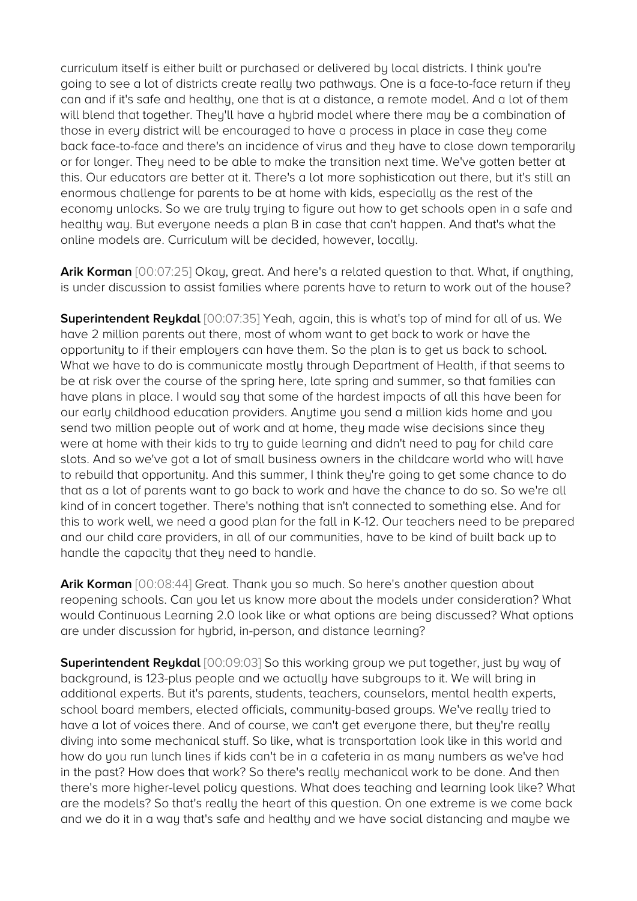curriculum itself is either built or purchased or delivered by local districts. I think you're going to see a lot of districts create really two pathways. One is a face-to-face return if they can and if it's safe and healthy, one that is at a distance, a remote model. And a lot of them will blend that together. They'll have a hybrid model where there may be a combination of those in every district will be encouraged to have a process in place in case they come back face-to-face and there's an incidence of virus and they have to close down temporarily or for longer. They need to be able to make the transition next time. We've gotten better at this. Our educators are better at it. There's a lot more sophistication out there, but it's still an enormous challenge for parents to be at home with kids, especially as the rest of the economy unlocks. So we are truly trying to figure out how to get schools open in a safe and healthy way. But everyone needs a plan B in case that can't happen. And that's what the online models are. Curriculum will be decided, however, locally.

**Arik Korman** [00:07:25] Okay, great. And here's a related question to that. What, if anything, is under discussion to assist families where parents have to return to work out of the house?

**Superintendent Reykdal** [00:07:35] Yeah, again, this is what's top of mind for all of us. We have 2 million parents out there, most of whom want to get back to work or have the opportunity to if their employers can have them. So the plan is to get us back to school. What we have to do is communicate mostly through Department of Health, if that seems to be at risk over the course of the spring here, late spring and summer, so that families can have plans in place. I would say that some of the hardest impacts of all this have been for our early childhood education providers. Anytime you send a million kids home and you send two million people out of work and at home, they made wise decisions since they were at home with their kids to try to guide learning and didn't need to pay for child care slots. And so we've got a lot of small business owners in the childcare world who will have to rebuild that opportunity. And this summer, I think they're going to get some chance to do that as a lot of parents want to go back to work and have the chance to do so. So we're all kind of in concert together. There's nothing that isn't connected to something else. And for this to work well, we need a good plan for the fall in K-12. Our teachers need to be prepared and our child care providers, in all of our communities, have to be kind of built back up to handle the capacity that they need to handle.

**Arik Korman** [00:08:44] Great. Thank you so much. So here's another question about reopening schools. Can you let us know more about the models under consideration? What would Continuous Learning 2.0 look like or what options are being discussed? What options are under discussion for hybrid, in-person, and distance learning?

**Superintendent Reykdal** [00:09:03] So this working group we put together, just by way of background, is 123-plus people and we actually have subgroups to it. We will bring in additional experts. But it's parents, students, teachers, counselors, mental health experts, school board members, elected officials, community-based groups. We've really tried to have a lot of voices there. And of course, we can't get everyone there, but they're really diving into some mechanical stuff. So like, what is transportation look like in this world and how do you run lunch lines if kids can't be in a cafeteria in as many numbers as we've had in the past? How does that work? So there's really mechanical work to be done. And then there's more higher-level policy questions. What does teaching and learning look like? What are the models? So that's really the heart of this question. On one extreme is we come back and we do it in a way that's safe and healthy and we have social distancing and maybe we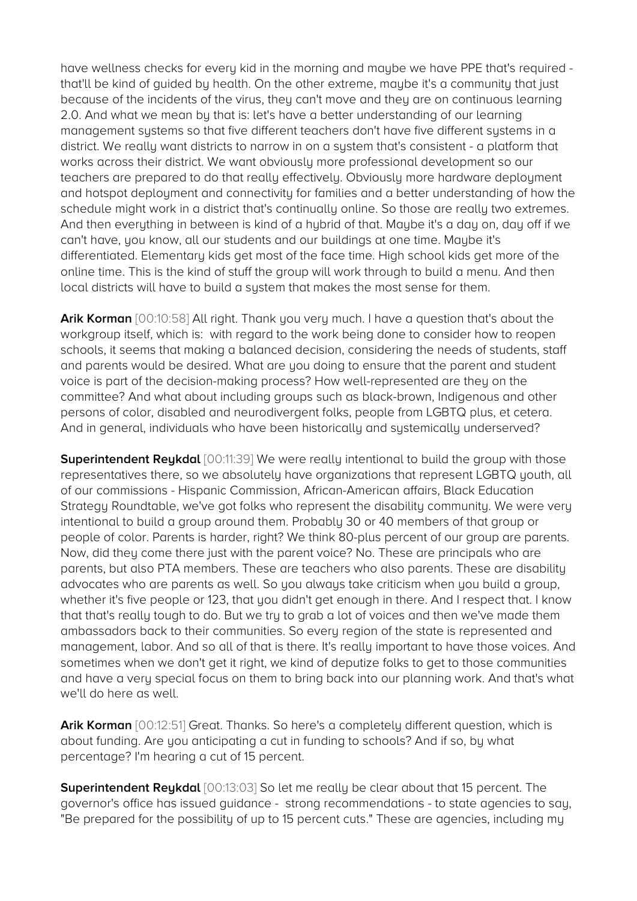have wellness checks for every kid in the morning and maybe we have PPE that's required that'll be kind of guided by health. On the other extreme, maybe it's a community that just because of the incidents of the virus, they can't move and they are on continuous learning 2.0. And what we mean by that is: let's have a better understanding of our learning management systems so that five different teachers don't have five different systems in a district. We really want districts to narrow in on a system that's consistent - a platform that works across their district. We want obviously more professional development so our teachers are prepared to do that really effectively. Obviously more hardware deployment and hotspot deployment and connectivity for families and a better understanding of how the schedule might work in a district that's continually online. So those are really two extremes. And then everything in between is kind of a hybrid of that. Maybe it's a day on, day off if we can't have, you know, all our students and our buildings at one time. Maybe it's differentiated. Elementary kids get most of the face time. High school kids get more of the online time. This is the kind of stuff the group will work through to build a menu. And then local districts will have to build a system that makes the most sense for them.

**Arik Korman** [00:10:58] All right. Thank you very much. I have a question that's about the workgroup itself, which is: with regard to the work being done to consider how to reopen schools, it seems that making a balanced decision, considering the needs of students, staff and parents would be desired. What are you doing to ensure that the parent and student voice is part of the decision-making process? How well-represented are they on the committee? And what about including groups such as black-brown, Indigenous and other persons of color, disabled and neurodivergent folks, people from LGBTQ plus, et cetera. And in general, individuals who have been historically and systemically underserved?

**Superintendent Reykdal** [00:11:39] We were really intentional to build the group with those representatives there, so we absolutely have organizations that represent LGBTQ youth, all of our commissions - Hispanic Commission, African-American affairs, Black Education Strategy Roundtable, we've got folks who represent the disability community. We were very intentional to build a group around them. Probably 30 or 40 members of that group or people of color. Parents is harder, right? We think 80-plus percent of our group are parents. Now, did they come there just with the parent voice? No. These are principals who are parents, but also PTA members. These are teachers who also parents. These are disability advocates who are parents as well. So you always take criticism when you build a group, whether it's five people or 123, that you didn't get enough in there. And I respect that. I know that that's really tough to do. But we try to grab a lot of voices and then we've made them ambassadors back to their communities. So every region of the state is represented and management, labor. And so all of that is there. It's really important to have those voices. And sometimes when we don't get it right, we kind of deputize folks to get to those communities and have a very special focus on them to bring back into our planning work. And that's what we'll do here as well.

**Arik Korman** [00:12:51] Great. Thanks. So here's a completely different question, which is about funding. Are you anticipating a cut in funding to schools? And if so, by what percentage? I'm hearing a cut of 15 percent.

**Superintendent Reykdal** [00:13:03] So let me really be clear about that 15 percent. The governor's office has issued guidance - strong recommendations - to state agencies to say, "Be prepared for the possibility of up to 15 percent cuts." These are agencies, including my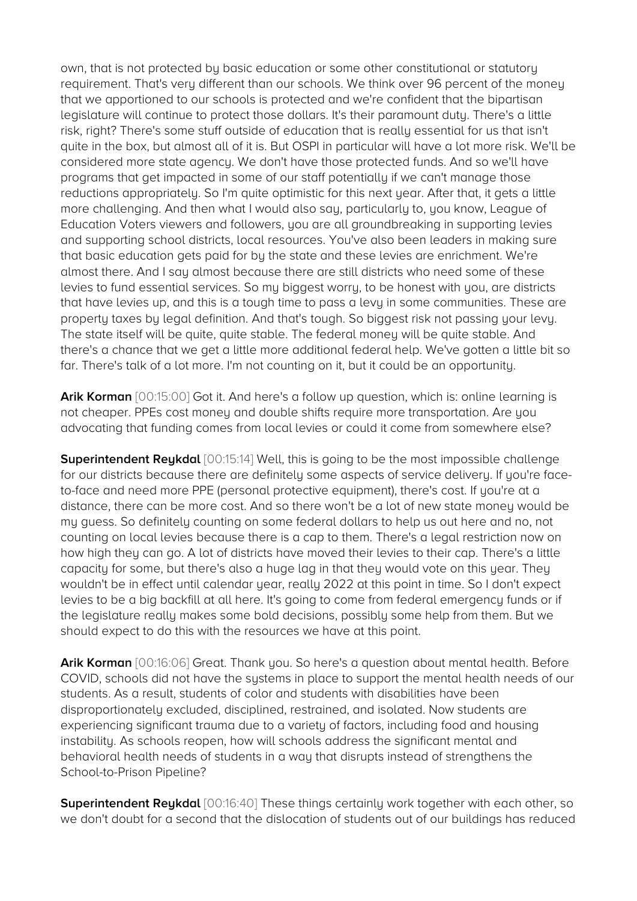own, that is not protected by basic education or some other constitutional or statutory requirement. That's very different than our schools. We think over 96 percent of the money that we apportioned to our schools is protected and we're confident that the bipartisan legislature will continue to protect those dollars. It's their paramount duty. There's a little risk, right? There's some stuff outside of education that is really essential for us that isn't quite in the box, but almost all of it is. But OSPI in particular will have a lot more risk. We'll be considered more state agency. We don't have those protected funds. And so we'll have programs that get impacted in some of our staff potentially if we can't manage those reductions appropriately. So I'm quite optimistic for this next year. After that, it gets a little more challenging. And then what I would also say, particularly to, you know, League of Education Voters viewers and followers, you are all groundbreaking in supporting levies and supporting school districts, local resources. You've also been leaders in making sure that basic education gets paid for by the state and these levies are enrichment. We're almost there. And I say almost because there are still districts who need some of these levies to fund essential services. So my biggest worry, to be honest with you, are districts that have levies up, and this is a tough time to pass a levy in some communities. These are property taxes by legal definition. And that's tough. So biggest risk not passing your levy. The state itself will be quite, quite stable. The federal money will be quite stable. And there's a chance that we get a little more additional federal help. We've gotten a little bit so far. There's talk of a lot more. I'm not counting on it, but it could be an opportunity.

**Arik Korman** [00:15:00] Got it. And here's a follow up question, which is: online learning is not cheaper. PPEs cost money and double shifts require more transportation. Are you advocating that funding comes from local levies or could it come from somewhere else?

**Superintendent Reykdal** [00:15:14] Well, this is going to be the most impossible challenge for our districts because there are definitely some aspects of service delivery. If you're faceto-face and need more PPE (personal protective equipment), there's cost. If you're at a distance, there can be more cost. And so there won't be a lot of new state money would be my guess. So definitely counting on some federal dollars to help us out here and no, not counting on local levies because there is a cap to them. There's a legal restriction now on how high they can go. A lot of districts have moved their levies to their cap. There's a little capacity for some, but there's also a huge lag in that they would vote on this year. They wouldn't be in effect until calendar year, really 2022 at this point in time. So I don't expect levies to be a big backfill at all here. It's going to come from federal emergency funds or if the legislature really makes some bold decisions, possibly some help from them. But we should expect to do this with the resources we have at this point.

**Arik Korman** [00:16:06] Great. Thank you. So here's a question about mental health. Before COVID, schools did not have the systems in place to support the mental health needs of our students. As a result, students of color and students with disabilities have been disproportionately excluded, disciplined, restrained, and isolated. Now students are experiencing significant trauma due to a variety of factors, including food and housing instability. As schools reopen, how will schools address the significant mental and behavioral health needs of students in a way that disrupts instead of strengthens the School-to-Prison Pipeline?

**Superintendent Reukdal** [00:16:40] These things certainly work together with each other, so we don't doubt for a second that the dislocation of students out of our buildings has reduced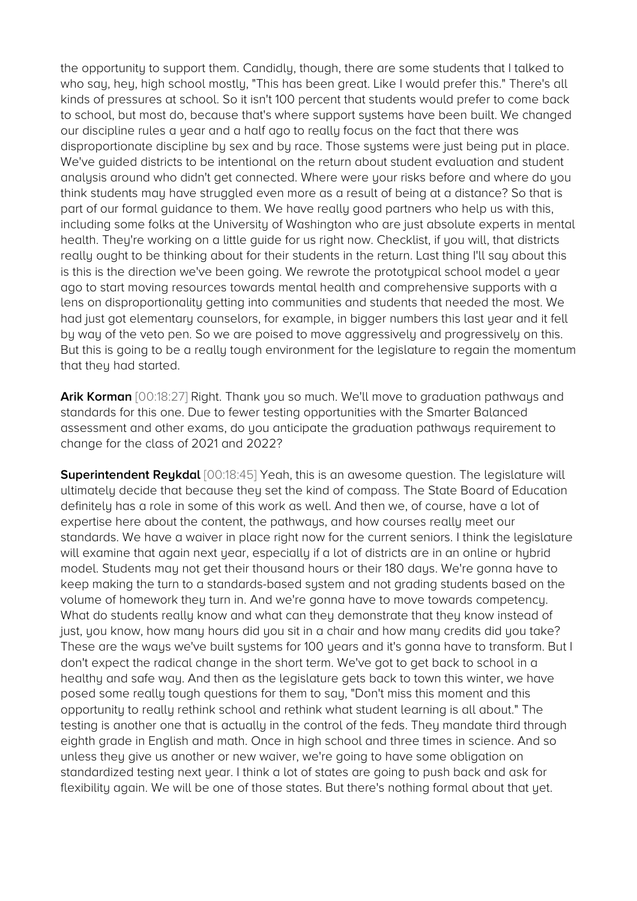the opportunity to support them. Candidly, though, there are some students that I talked to who say, hey, high school mostly, "This has been great. Like I would prefer this." There's all kinds of pressures at school. So it isn't 100 percent that students would prefer to come back to school, but most do, because that's where support systems have been built. We changed our discipline rules a year and a half ago to really focus on the fact that there was disproportionate discipline by sex and by race. Those systems were just being put in place. We've guided districts to be intentional on the return about student evaluation and student analysis around who didn't get connected. Where were your risks before and where do you think students may have struggled even more as a result of being at a distance? So that is part of our formal guidance to them. We have really good partners who help us with this, including some folks at the University of Washington who are just absolute experts in mental health. They're working on a little guide for us right now. Checklist, if you will, that districts really ought to be thinking about for their students in the return. Last thing I'll say about this is this is the direction we've been going. We rewrote the prototypical school model a year ago to start moving resources towards mental health and comprehensive supports with a lens on disproportionality getting into communities and students that needed the most. We had just got elementary counselors, for example, in bigger numbers this last year and it fell by way of the veto pen. So we are poised to move aggressively and progressively on this. But this is going to be a really tough environment for the legislature to regain the momentum that they had started.

**Arik Korman** [00:18:27] Right. Thank you so much. We'll move to graduation pathways and standards for this one. Due to fewer testing opportunities with the Smarter Balanced assessment and other exams, do you anticipate the graduation pathways requirement to change for the class of 2021 and 2022?

**Superintendent Reykdal** [00:18:45] Yeah, this is an awesome question. The legislature will ultimately decide that because they set the kind of compass. The State Board of Education definitely has a role in some of this work as well. And then we, of course, have a lot of expertise here about the content, the pathways, and how courses really meet our standards. We have a waiver in place right now for the current seniors. I think the legislature will examine that again next year, especially if a lot of districts are in an online or hybrid model. Students may not get their thousand hours or their 180 days. We're gonna have to keep making the turn to a standards-based system and not grading students based on the volume of homework they turn in. And we're gonna have to move towards competency. What do students really know and what can they demonstrate that they know instead of just, you know, how many hours did you sit in a chair and how many credits did you take? These are the ways we've built systems for 100 years and it's gonna have to transform. But I don't expect the radical change in the short term. We've got to get back to school in a healthy and safe way. And then as the legislature gets back to town this winter, we have posed some really tough questions for them to say, "Don't miss this moment and this opportunity to really rethink school and rethink what student learning is all about." The testing is another one that is actually in the control of the feds. They mandate third through eighth grade in English and math. Once in high school and three times in science. And so unless they give us another or new waiver, we're going to have some obligation on standardized testing next year. I think a lot of states are going to push back and ask for flexibility again. We will be one of those states. But there's nothing formal about that yet.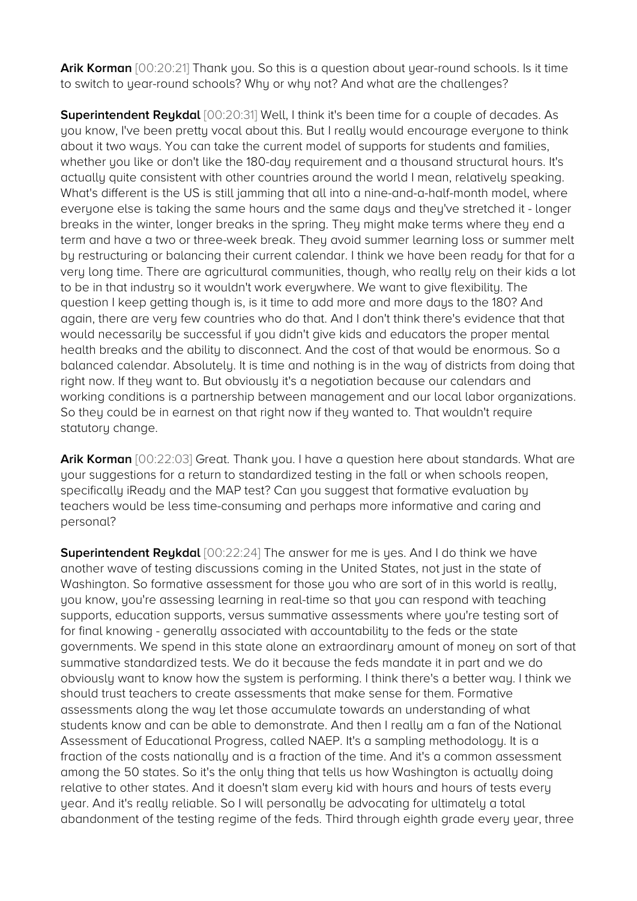Arik Korman [00:20:21] Thank you. So this is a question about year-round schools. Is it time to switch to year-round schools? Why or why not? And what are the challenges?

**Superintendent Reykdal** [00:20:31] Well, I think it's been time for a couple of decades. As you know, I've been pretty vocal about this. But I really would encourage everyone to think about it two ways. You can take the current model of supports for students and families, whether you like or don't like the 180-day requirement and a thousand structural hours. It's actually quite consistent with other countries around the world I mean, relatively speaking. What's different is the US is still jamming that all into a nine-and-a-half-month model, where everyone else is taking the same hours and the same days and they've stretched it - longer breaks in the winter, longer breaks in the spring. They might make terms where they end a term and have a two or three-week break. They avoid summer learning loss or summer melt by restructuring or balancing their current calendar. I think we have been ready for that for a very long time. There are agricultural communities, though, who really rely on their kids a lot to be in that industry so it wouldn't work everywhere. We want to give flexibility. The question I keep getting though is, is it time to add more and more days to the 180? And again, there are very few countries who do that. And I don't think there's evidence that that would necessarily be successful if you didn't give kids and educators the proper mental health breaks and the ability to disconnect. And the cost of that would be enormous. So a balanced calendar. Absolutely. It is time and nothing is in the way of districts from doing that right now. If they want to. But obviously it's a negotiation because our calendars and working conditions is a partnership between management and our local labor organizations. So they could be in earnest on that right now if they wanted to. That wouldn't require statutory change.

Arik Korman  $[00:22:03]$  Great. Thank you. I have a question here about standards. What are your suggestions for a return to standardized testing in the fall or when schools reopen, specifically iReady and the MAP test? Can you suggest that formative evaluation by teachers would be less time-consuming and perhaps more informative and caring and personal?

**Superintendent Reykdal** [00:22:24] The answer for me is yes. And I do think we have another wave of testing discussions coming in the United States, not just in the state of Washington. So formative assessment for those you who are sort of in this world is really, you know, you're assessing learning in real-time so that you can respond with teaching supports, education supports, versus summative assessments where you're testing sort of for final knowing - generally associated with accountability to the feds or the state governments. We spend in this state alone an extraordinary amount of money on sort of that summative standardized tests. We do it because the feds mandate it in part and we do obviously want to know how the system is performing. I think there's a better way. I think we should trust teachers to create assessments that make sense for them. Formative assessments along the way let those accumulate towards an understanding of what students know and can be able to demonstrate. And then I really am a fan of the National Assessment of Educational Progress, called NAEP. It's a sampling methodology. It is a fraction of the costs nationally and is a fraction of the time. And it's a common assessment among the 50 states. So it's the only thing that tells us how Washington is actually doing relative to other states. And it doesn't slam every kid with hours and hours of tests every year. And it's really reliable. So I will personally be advocating for ultimately a total abandonment of the testing regime of the feds. Third through eighth grade every year, three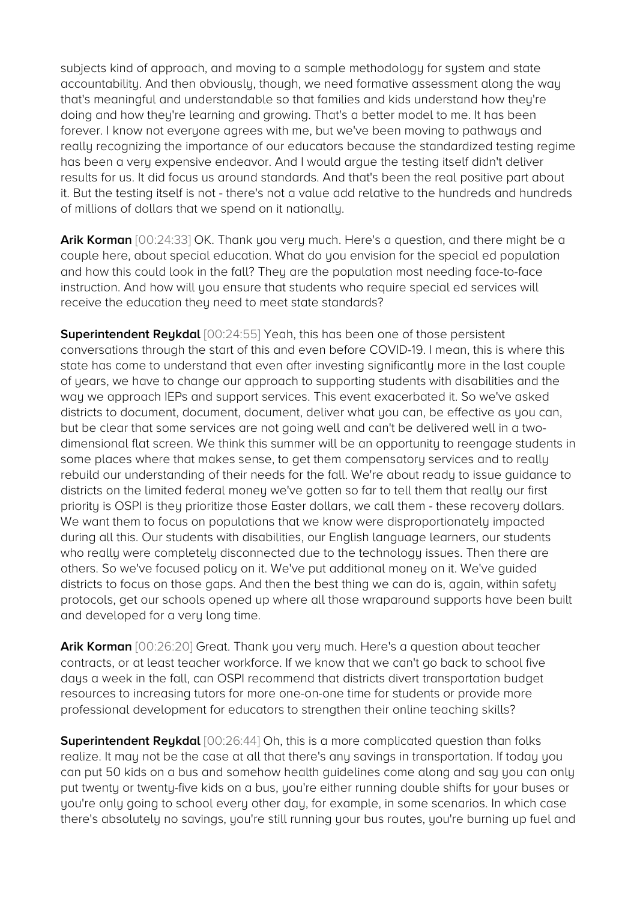subjects kind of approach, and moving to a sample methodology for system and state accountability. And then obviously, though, we need formative assessment along the way that's meaningful and understandable so that families and kids understand how they're doing and how they're learning and growing. That's a better model to me. It has been forever. I know not everyone agrees with me, but we've been moving to pathways and really recognizing the importance of our educators because the standardized testing regime has been a very expensive endeavor. And I would argue the testing itself didn't deliver results for us. It did focus us around standards. And that's been the real positive part about it. But the testing itself is not - there's not a value add relative to the hundreds and hundreds of millions of dollars that we spend on it nationally.

**Arik Korman** [00:24:33] OK. Thank you very much. Here's a question, and there might be a couple here, about special education. What do you envision for the special ed population and how this could look in the fall? They are the population most needing face-to-face instruction. And how will you ensure that students who require special ed services will receive the education they need to meet state standards?

**Superintendent Reykdal** [00:24:55] Yeah, this has been one of those persistent conversations through the start of this and even before COVID-19. I mean, this is where this state has come to understand that even after investing significantly more in the last couple of years, we have to change our approach to supporting students with disabilities and the way we approach IEPs and support services. This event exacerbated it. So we've asked districts to document, document, document, deliver what you can, be effective as you can, but be clear that some services are not going well and can't be delivered well in a twodimensional flat screen. We think this summer will be an opportunity to reengage students in some places where that makes sense, to get them compensatory services and to really rebuild our understanding of their needs for the fall. We're about ready to issue guidance to districts on the limited federal money we've gotten so far to tell them that really our first priority is OSPI is they prioritize those Easter dollars, we call them - these recovery dollars. We want them to focus on populations that we know were disproportionately impacted during all this. Our students with disabilities, our English language learners, our students who really were completely disconnected due to the technology issues. Then there are others. So we've focused policy on it. We've put additional money on it. We've guided districts to focus on those gaps. And then the best thing we can do is, again, within safety protocols, get our schools opened up where all those wraparound supports have been built and developed for a very long time.

**Arik Korman** [00:26:20] Great. Thank you very much. Here's a question about teacher contracts, or at least teacher workforce. If we know that we can't go back to school five days a week in the fall, can OSPI recommend that districts divert transportation budget resources to increasing tutors for more one-on-one time for students or provide more professional development for educators to strengthen their online teaching skills?

**Superintendent Reykdal** [00:26:44] Oh, this is a more complicated question than folks realize. It may not be the case at all that there's any savings in transportation. If today you can put 50 kids on a bus and somehow health guidelines come along and say you can only put twenty or twenty-five kids on a bus, you're either running double shifts for your buses or you're only going to school every other day, for example, in some scenarios. In which case there's absolutely no savings, you're still running your bus routes, you're burning up fuel and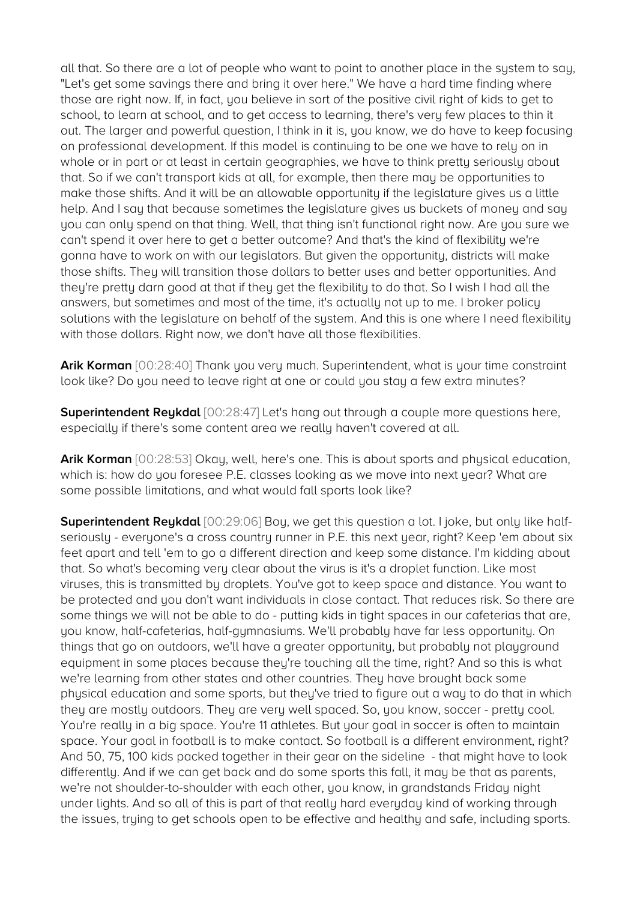all that. So there are a lot of people who want to point to another place in the system to say, "Let's get some savings there and bring it over here." We have a hard time finding where those are right now. If, in fact, you believe in sort of the positive civil right of kids to get to school, to learn at school, and to get access to learning, there's very few places to thin it out. The larger and powerful question, I think in it is, you know, we do have to keep focusing on professional development. If this model is continuing to be one we have to rely on in whole or in part or at least in certain geographies, we have to think pretty seriously about that. So if we can't transport kids at all, for example, then there may be opportunities to make those shifts. And it will be an allowable opportunity if the legislature gives us a little help. And I say that because sometimes the legislature gives us buckets of money and say you can only spend on that thing. Well, that thing isn't functional right now. Are you sure we can't spend it over here to get a better outcome? And that's the kind of flexibility we're gonna have to work on with our legislators. But given the opportunity, districts will make those shifts. They will transition those dollars to better uses and better opportunities. And they're pretty darn good at that if they get the flexibility to do that. So I wish I had all the answers, but sometimes and most of the time, it's actually not up to me. I broker policy solutions with the legislature on behalf of the system. And this is one where I need flexibility with those dollars. Right now, we don't have all those flexibilities.

**Arik Korman** [00:28:40] Thank you very much. Superintendent, what is your time constraint look like? Do you need to leave right at one or could you stay a few extra minutes?

**Superintendent Reykdal** [00:28:47] Let's hang out through a couple more questions here, especially if there's some content area we really haven't covered at all.

**Arik Korman** [00:28:53] Okay, well, here's one. This is about sports and physical education, which is: how do you foresee P.E. classes looking as we move into next year? What are some possible limitations, and what would fall sports look like?

**Superintendent Reykdal** [00:29:06] Boy, we get this question a lot. I joke, but only like halfseriously - everyone's a cross country runner in P.E. this next year, right? Keep 'em about six feet apart and tell 'em to go a different direction and keep some distance. I'm kidding about that. So what's becoming very clear about the virus is it's a droplet function. Like most viruses, this is transmitted by droplets. You've got to keep space and distance. You want to be protected and you don't want individuals in close contact. That reduces risk. So there are some things we will not be able to do - putting kids in tight spaces in our cafeterias that are, you know, half-cafeterias, half-gymnasiums. We'll probably have far less opportunity. On things that go on outdoors, we'll have a greater opportunity, but probably not playground equipment in some places because they're touching all the time, right? And so this is what we're learning from other states and other countries. They have brought back some physical education and some sports, but they've tried to figure out a way to do that in which they are mostly outdoors. They are very well spaced. So, you know, soccer - pretty cool. You're really in a big space. You're 11 athletes. But your goal in soccer is often to maintain space. Your goal in football is to make contact. So football is a different environment, right? And 50, 75, 100 kids packed together in their gear on the sideline - that might have to look differently. And if we can get back and do some sports this fall, it may be that as parents, we're not shoulder-to-shoulder with each other, you know, in grandstands Friday night under lights. And so all of this is part of that really hard everyday kind of working through the issues, trying to get schools open to be effective and healthy and safe, including sports.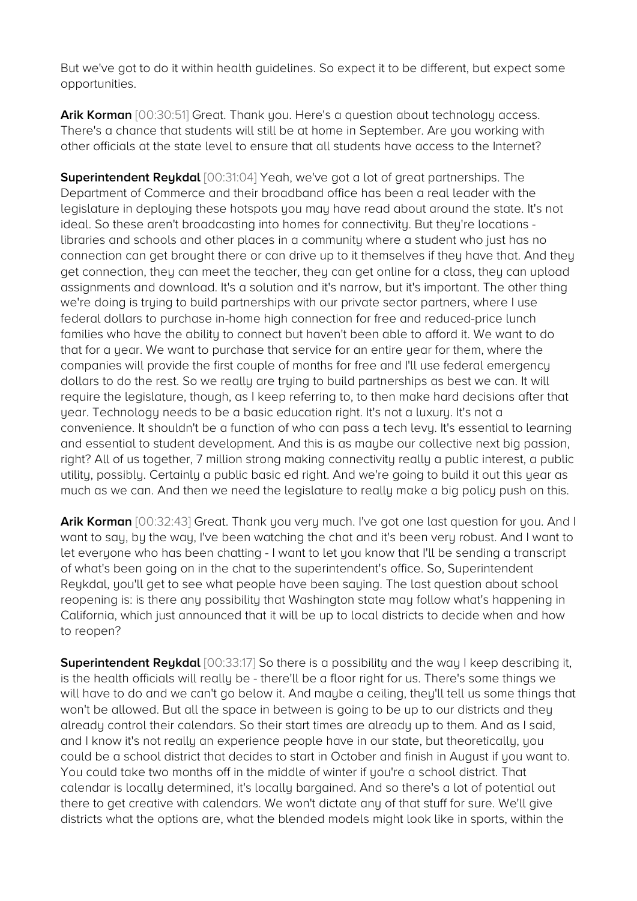But we've got to do it within health guidelines. So expect it to be different, but expect some opportunities.

Arik Korman [00:30:51] Great. Thank you. Here's a question about technology access. There's a chance that students will still be at home in September. Are you working with other officials at the state level to ensure that all students have access to the Internet?

**Superintendent Reykdal** [00:31:04] Yeah, we've got a lot of great partnerships. The Department of Commerce and their broadband office has been a real leader with the legislature in deploying these hotspots you may have read about around the state. It's not ideal. So these aren't broadcasting into homes for connectivity. But they're locations libraries and schools and other places in a community where a student who just has no connection can get brought there or can drive up to it themselves if they have that. And they get connection, they can meet the teacher, they can get online for a class, they can upload assignments and download. It's a solution and it's narrow, but it's important. The other thing we're doing is trying to build partnerships with our private sector partners, where I use federal dollars to purchase in-home high connection for free and reduced-price lunch families who have the ability to connect but haven't been able to afford it. We want to do that for a year. We want to purchase that service for an entire year for them, where the companies will provide the first couple of months for free and I'll use federal emergency dollars to do the rest. So we really are trying to build partnerships as best we can. It will require the legislature, though, as I keep referring to, to then make hard decisions after that year. Technology needs to be a basic education right. It's not a luxury. It's not a convenience. It shouldn't be a function of who can pass a tech levy. It's essential to learning and essential to student development. And this is as maybe our collective next big passion, right? All of us together, 7 million strong making connectivity really a public interest, a public utility, possibly. Certainly a public basic ed right. And we're going to build it out this year as much as we can. And then we need the legislature to really make a big policy push on this.

**Arik Korman** [00:32:43] Great. Thank you very much. I've got one last question for you. And I want to say, by the way, I've been watching the chat and it's been very robust. And I want to let everyone who has been chatting - I want to let you know that I'll be sending a transcript of what's been going on in the chat to the superintendent's office. So, Superintendent Reykdal, you'll get to see what people have been saying. The last question about school reopening is: is there any possibility that Washington state may follow what's happening in California, which just announced that it will be up to local districts to decide when and how to reopen?

**Superintendent Reykdal** [00:33:17] So there is a possibility and the way I keep describing it, is the health officials will really be - there'll be a floor right for us. There's some things we will have to do and we can't go below it. And maybe a ceiling, they'll tell us some things that won't be allowed. But all the space in between is going to be up to our districts and they already control their calendars. So their start times are already up to them. And as I said, and I know it's not really an experience people have in our state, but theoretically, you could be a school district that decides to start in October and finish in August if you want to. You could take two months off in the middle of winter if you're a school district. That calendar is locally determined, it's locally bargained. And so there's a lot of potential out there to get creative with calendars. We won't dictate any of that stuff for sure. We'll give districts what the options are, what the blended models might look like in sports, within the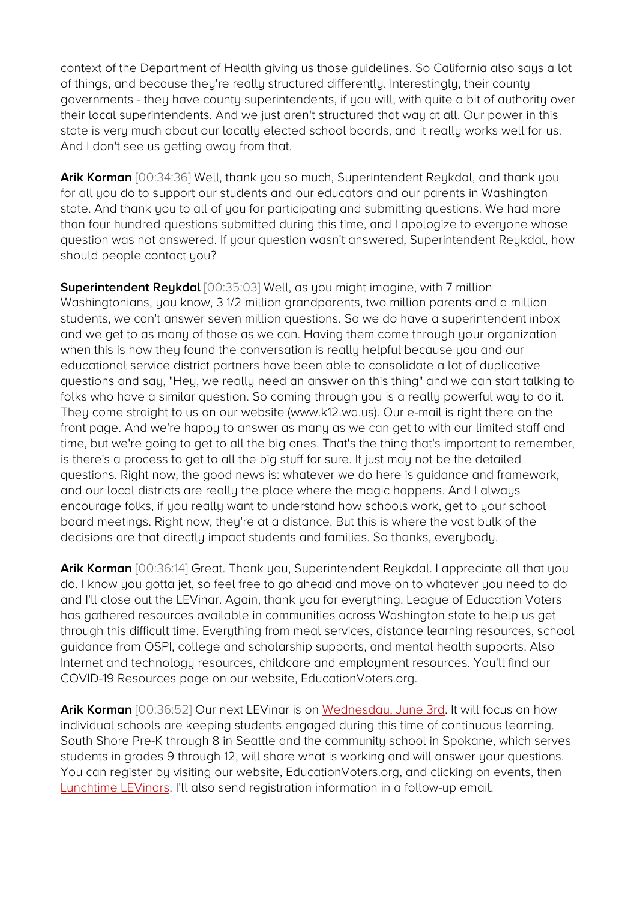context of the Department of Health giving us those guidelines. So California also says a lot of things, and because they're really structured differently. Interestingly, their county governments - they have county superintendents, if you will, with quite a bit of authority over their local superintendents. And we just aren't structured that way at all. Our power in this state is very much about our locally elected school boards, and it really works well for us. And I don't see us getting away from that.

**Arik Korman** [00:34:36] Well, thank you so much, Superintendent Reykdal, and thank you for all you do to support our students and our educators and our parents in Washington state. And thank you to all of you for participating and submitting questions. We had more than four hundred questions submitted during this time, and I apologize to everyone whose question was not answered. If your question wasn't answered, Superintendent Reykdal, how should people contact you?

**Superintendent Reykdal** [00:35:03] Well, as you might imagine, with 7 million Washingtonians, you know, 3 1/2 million grandparents, two million parents and a million students, we can't answer seven million questions. So we do have a superintendent inbox and we get to as many of those as we can. Having them come through your organization when this is how they found the conversation is really helpful because you and our educational service district partners have been able to consolidate a lot of duplicative questions and say, "Hey, we really need an answer on this thing" and we can start talking to folks who have a similar question. So coming through you is a really powerful way to do it. They come straight to us on our website (www.k12.wa.us). Our e-mail is right there on the front page. And we're happy to answer as many as we can get to with our limited staff and time, but we're going to get to all the big ones. That's the thing that's important to remember, is there's a process to get to all the big stuff for sure. It just may not be the detailed questions. Right now, the good news is: whatever we do here is guidance and framework, and our local districts are really the place where the magic happens. And I always encourage folks, if you really want to understand how schools work, get to your school board meetings. Right now, they're at a distance. But this is where the vast bulk of the decisions are that directly impact students and families. So thanks, everybody.

**Arik Korman** [00:36:14] Great. Thank you, Superintendent Reykdal. I appreciate all that you do. I know you gotta jet, so feel free to go ahead and move on to whatever you need to do and I'll close out the LEVinar. Again, thank you for everything. League of Education Voters has gathered resources available in communities across Washington state to help us get through this difficult time. Everything from meal services, distance learning resources, school guidance from OSPI, college and scholarship supports, and mental health supports. Also Internet and technology resources, childcare and employment resources. You'll find our COVID-19 Resources page on our website, EducationVoters.org.

**Arik Korman** [00:36:52] Our next LEVinar is on [Wednesday, June 3rd.](https://zoom.us/webinar/register/WN_7fqYh8e5RQGHvbQNodPJ5w) It will focus on how individual schools are keeping students engaged during this time of continuous learning. South Shore Pre-K through 8 in Seattle and the community school in Spokane, which serves students in grades 9 through 12, will share what is working and will answer your questions. You can register by visiting our website, EducationVoters.org, and clicking on events, then [Lunchtime LEVinars.](https://educationvoters.org/get-involved/lunchtime-levinars/) I'll also send registration information in a follow-up email.